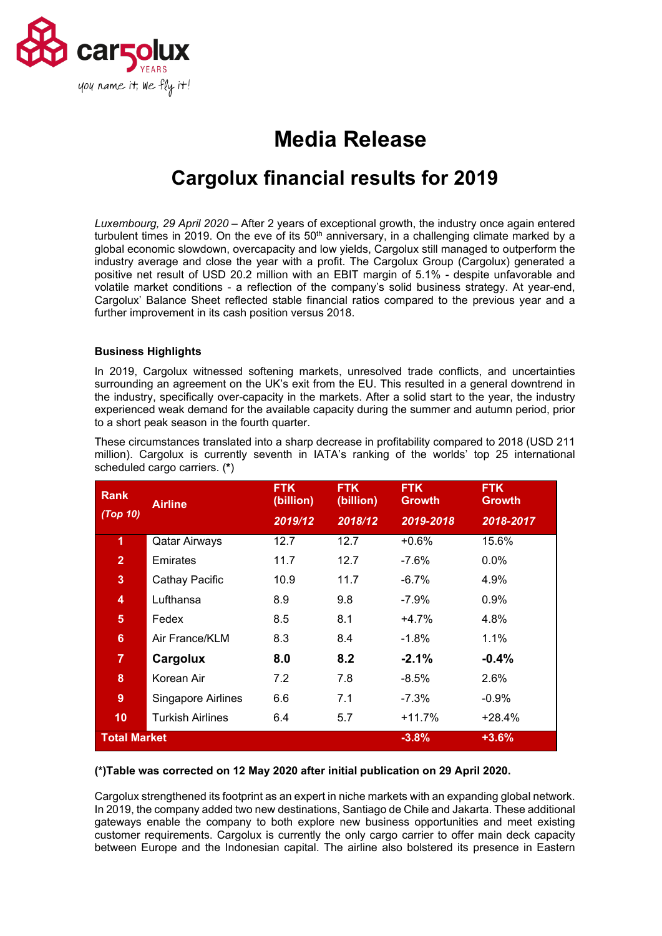

# **Media Release**

# **Cargolux financial results for 2019**

*Luxembourg, 29 April 2020* – After 2 years of exceptional growth, the industry once again entered turbulent times in 2019. On the eve of its 50<sup>th</sup> anniversary, in a challenging climate marked by a global economic slowdown, overcapacity and low yields, Cargolux still managed to outperform the industry average and close the year with a profit. The Cargolux Group (Cargolux) generated a positive net result of USD 20.2 million with an EBIT margin of 5.1% - despite unfavorable and volatile market conditions - a reflection of the company's solid business strategy. At year-end, Cargolux' Balance Sheet reflected stable financial ratios compared to the previous year and a further improvement in its cash position versus 2018.

# **Business Highlights**

In 2019, Cargolux witnessed softening markets, unresolved trade conflicts, and uncertainties surrounding an agreement on the UK's exit from the EU. This resulted in a general downtrend in the industry, specifically over-capacity in the markets. After a solid start to the year, the industry experienced weak demand for the available capacity during the summer and autumn period, prior to a short peak season in the fourth quarter.

| <b>Rank</b>                               | <b>Airline</b>          | <b>FTK</b><br>(billion) | <b>FTK</b><br>(billion) | <b>FTK</b><br><b>Growth</b> | <b>FTK</b><br><b>Growth</b> |
|-------------------------------------------|-------------------------|-------------------------|-------------------------|-----------------------------|-----------------------------|
| (Top 10)                                  |                         | 2019/12                 | 2018/12                 | 2019-2018                   | 2018-2017                   |
| 1                                         | <b>Qatar Airways</b>    | 12.7                    | 12.7                    | $+0.6\%$                    | 15.6%                       |
| $\overline{2}$                            | Emirates                | 11.7                    | 12.7                    | -7.6%                       | $0.0\%$                     |
| 3                                         | Cathay Pacific          | 10.9                    | 11.7                    | $-6.7\%$                    | 4.9%                        |
| 4                                         | Lufthansa               | 8.9                     | 9.8                     | -7.9%                       | 0.9%                        |
| 5                                         | Fedex                   | 8.5                     | 8.1                     | $+4.7%$                     | 4.8%                        |
| $6\phantom{a}$                            | Air France/KLM          | 8.3                     | 8.4                     | $-1.8\%$                    | $1.1\%$                     |
| $\overline{7}$                            | Cargolux                | 8.0                     | 8.2                     | $-2.1\%$                    | $-0.4%$                     |
| 8                                         | Korean Air              | 7.2                     | 7.8                     | $-8.5\%$                    | 2.6%                        |
| 9                                         | Singapore Airlines      | 6.6                     | 7.1                     | $-7.3%$                     | $-0.9%$                     |
| 10                                        | <b>Turkish Airlines</b> | 6.4                     | 5.7                     | +11.7%                      | +28.4%                      |
| <b>Total Market</b><br>$+3.6%$<br>$-3.8%$ |                         |                         |                         |                             |                             |

These circumstances translated into a sharp decrease in profitability compared to 2018 (USD 211 million). Cargolux is currently seventh in IATA's ranking of the worlds' top 25 international scheduled cargo carriers. (**\***)

### **(\*)Table was corrected on 12 May 2020 after initial publication on 29 April 2020.**

Cargolux strengthened its footprint as an expert in niche markets with an expanding global network. In 2019, the company added two new destinations, Santiago de Chile and Jakarta. These additional gateways enable the company to both explore new business opportunities and meet existing customer requirements. Cargolux is currently the only cargo carrier to offer main deck capacity between Europe and the Indonesian capital. The airline also bolstered its presence in Eastern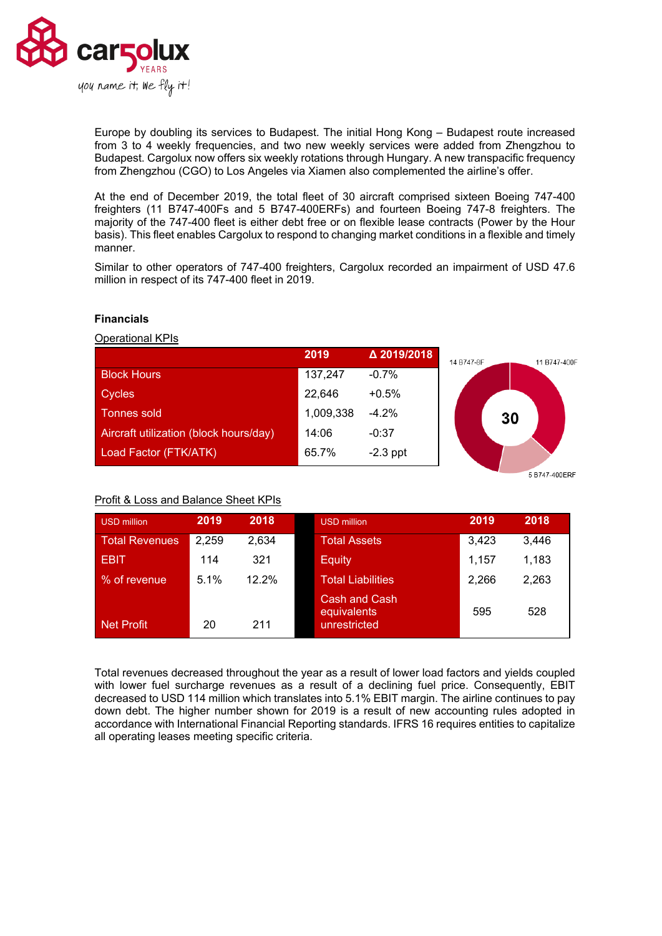

Europe by doubling its services to Budapest. The initial Hong Kong – Budapest route increased from 3 to 4 weekly frequencies, and two new weekly services were added from Zhengzhou to Budapest. Cargolux now offers six weekly rotations through Hungary. A new transpacific frequency from Zhengzhou (CGO) to Los Angeles via Xiamen also complemented the airline's offer.

At the end of December 2019, the total fleet of 30 aircraft comprised sixteen Boeing 747-400 freighters (11 B747-400Fs and 5 B747-400ERFs) and fourteen Boeing 747-8 freighters. The majority of the 747-400 fleet is either debt free or on flexible lease contracts (Power by the Hour basis). This fleet enables Cargolux to respond to changing market conditions in a flexible and timely manner.

Similar to other operators of 747-400 freighters, Cargolux recorded an impairment of USD 47.6 million in respect of its 747-400 fleet in 2019.



## **Financials**

## **Operational KPIs**

#### 5 B747-400ERF

# Profit & Loss and Balance Sheet KPIs

| USD million       | 2019  | 2018  | <b>USD million</b>                           | 2019  | 2018  |
|-------------------|-------|-------|----------------------------------------------|-------|-------|
| Total Revenues    | 2,259 | 2,634 | <b>Total Assets</b>                          | 3,423 | 3.446 |
| <b>EBIT</b>       | 114   | 321   | <b>Equity</b>                                | 1.157 | 1,183 |
| % of revenue      | 5.1%  | 12.2% | <b>Total Liabilities</b>                     | 2,266 | 2,263 |
| <b>Net Profit</b> | 20    | 211   | Cash and Cash<br>equivalents<br>unrestricted | 595   | 528   |

Total revenues decreased throughout the year as a result of lower load factors and yields coupled with lower fuel surcharge revenues as a result of a declining fuel price. Consequently, EBIT decreased to USD 114 million which translates into 5.1% EBIT margin. The airline continues to pay down debt. The higher number shown for 2019 is a result of new accounting rules adopted in accordance with International Financial Reporting standards. IFRS 16 requires entities to capitalize all operating leases meeting specific criteria.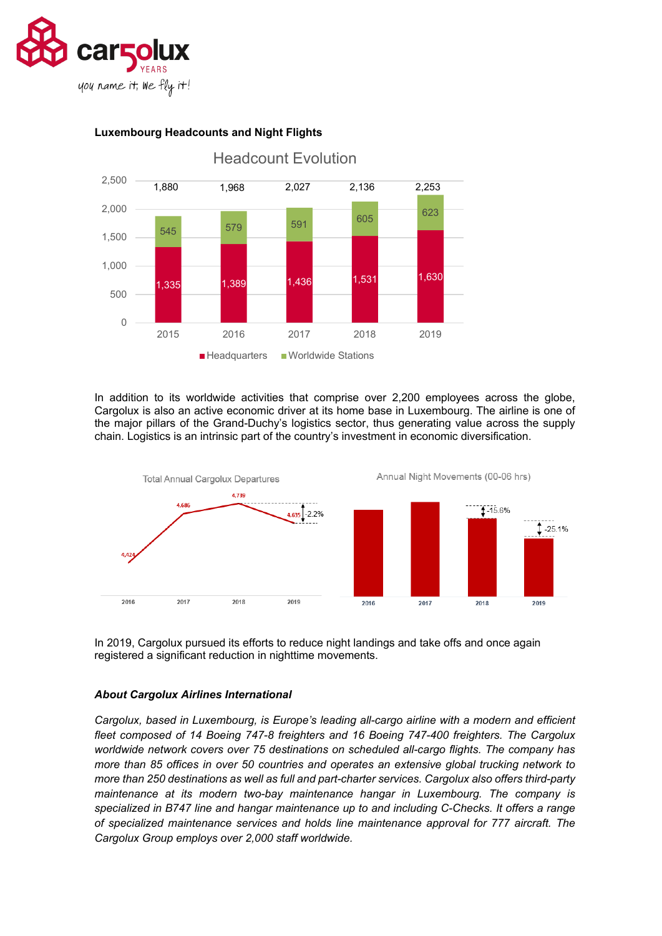



# **Luxembourg Headcounts and Night Flights**

In addition to its worldwide activities that comprise over 2,200 employees across the globe, Cargolux is also an active economic driver at its home base in Luxembourg. The airline is one of the major pillars of the Grand-Duchy's logistics sector, thus generating value across the supply chain. Logistics is an intrinsic part of the country's investment in economic diversification.



In 2019, Cargolux pursued its efforts to reduce night landings and take offs and once again registered a significant reduction in nighttime movements.

### *About Cargolux Airlines International*

*Cargolux, based in Luxembourg, is Europe's leading all-cargo airline with a modern and efficient fleet composed of 14 Boeing 747-8 freighters and 16 Boeing 747-400 freighters. The Cargolux worldwide network covers over 75 destinations on scheduled all-cargo flights. The company has more than 85 offices in over 50 countries and operates an extensive global trucking network to more than 250 destinations as well as full and part-charter services. Cargolux also offers third-party maintenance at its modern two-bay maintenance hangar in Luxembourg. The company is specialized in B747 line and hangar maintenance up to and including C-Checks. It offers a range of specialized maintenance services and holds line maintenance approval for 777 aircraft. The Cargolux Group employs over 2,000 staff worldwide.*